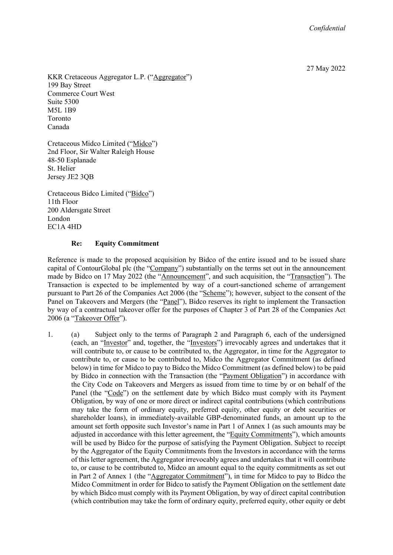27 May 2022

KKR Cretaceous Aggregator L.P. ("Aggregator") 199 Bay Street Commerce Court West Suite 5300 M5L 1B9 Toronto Canada

Cretaceous Midco Limited ("Midco") 2nd Floor, Sir Walter Raleigh House 48-50 Esplanade St. Helier Jersey JE2 3QB

Cretaceous Bidco Limited ("Bidco") 11th Floor 200 Aldersgate Street London EC1A 4HD

#### **Re: Equity Commitment**

Reference is made to the proposed acquisition by Bidco of the entire issued and to be issued share capital of ContourGlobal plc (the "Company") substantially on the terms set out in the announcement made by Bidco on 17 May 2022 (the "Announcement", and such acquisition, the "Transaction"). The Transaction is expected to be implemented by way of a court-sanctioned scheme of arrangement pursuant to Part 26 of the Companies Act 2006 (the "Scheme"); however, subject to the consent of the Panel on Takeovers and Mergers (the "Panel"), Bidco reserves its right to implement the Transaction by way of a contractual takeover offer for the purposes of Chapter 3 of Part 28 of the Companies Act 2006 (a "Takeover Offer").

1. (a) Subject only to the terms of Paragraph 2 and Paragraph 6, each of the undersigned (each, an "Investor" and, together, the "Investors") irrevocably agrees and undertakes that it will contribute to, or cause to be contributed to, the Aggregator, in time for the Aggregator to contribute to, or cause to be contributed to, Midco the Aggregator Commitment (as defined below) in time for Midco to pay to Bidco the Midco Commitment (as defined below) to be paid by Bidco in connection with the Transaction (the "Payment Obligation") in accordance with the City Code on Takeovers and Mergers as issued from time to time by or on behalf of the Panel (the "Code") on the settlement date by which Bidco must comply with its Payment Obligation, by way of one or more direct or indirect capital contributions (which contributions may take the form of ordinary equity, preferred equity, other equity or debt securities or shareholder loans), in immediately-available GBP-denominated funds, an amount up to the amount set forth opposite such Investor's name in Part 1 of Annex 1 (as such amounts may be adjusted in accordance with this letter agreement, the "Equity Commitments"), which amounts will be used by Bidco for the purpose of satisfying the Payment Obligation. Subject to receipt by the Aggregator of the Equity Commitments from the Investors in accordance with the terms of this letter agreement, the Aggregator irrevocably agrees and undertakes that it will contribute to, or cause to be contributed to, Midco an amount equal to the equity commitments as set out in Part 2 of Annex 1 (the "Aggregator Commitment"), in time for Midco to pay to Bidco the Midco Commitment in order for Bidco to satisfy the Payment Obligation on the settlement date by which Bidco must comply with its Payment Obligation, by way of direct capital contribution (which contribution may take the form of ordinary equity, preferred equity, other equity or debt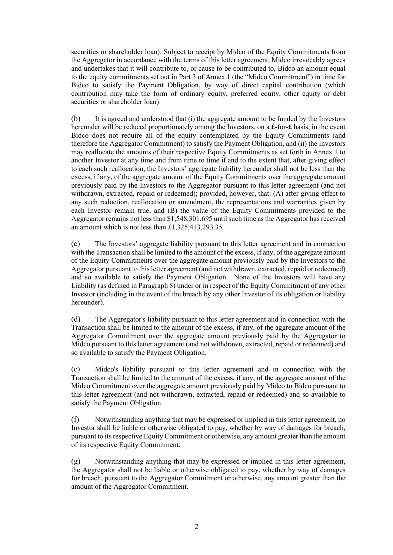securities or shareholder loan). Subject to receipt by Midco of the Equity Commitments from the Aggregator in accordance with the terms of this letter agreement, Midco irrevocably agrees and undertakes that it will contribute to, or cause to be contributed to, Bidco an amount equal to the equity commitments set out in Part 3 of Annex 1 (the "Midco Commitment") in time for Bidco to satisfy the Payment Obligation, by way of direct capital contribution (which contribution may take the form of ordinary equity, preferred equity, other equity or debt securities or shareholder loan).

(b) It is agreed and understood that (i) the aggregate amount to be funded by the Investors hereunder will be reduced proportionately among the Investors, on a £-for-£ basis, in the event Bidco does not require all of the equity contemplated by the Equity Commitments (and therefore the Aggregator Commitment) to satisfy the Payment Obligation, and (ii) the Investors may reallocate the amounts of their respective Equity Commitments as set forth in Annex 1 to another Investor at any time and from time to time if and to the extent that, after giving effect to each such reallocation, the Investors' aggregate liability hereunder shall not be less than the excess, if any, of the aggregate amount of the Equity Commitments over the aggregate amount previously paid by the Investors to the Aggregator pursuant to this letter agreement (and not withdrawn, extracted, repaid or redeemed); provided, however, that: (A) after giving effect to any such reduction, reallocation or amendment, the representations and warranties given by each Investor remain true, and (B) the value of the Equity Commitments provided to the Aggregator remains not less than \$1,548,301,695 until such time as the Aggregator has received an amount which is not less than £1,325,413,293.35.

(c) The Investors' aggregate liability pursuant to this letter agreement and in connection with the Transaction shall be limited to the amount of the excess, if any, of the aggregate amount of the Equity Commitments over the aggregate amount previously paid by the Investors to the Aggregator pursuant to this letter agreement (and not withdrawn, extracted, repaid or redeemed) and so available to satisfy the Payment Obligation. None of the Investors will have any Liability (as defined in Paragraph 8) under or in respect of the Equity Commitment of any other Investor (including in the event of the breach by any other Investor of its obligation or liability hereunder).

(d) The Aggregator's liability pursuant to this letter agreement and in connection with the Transaction shall be limited to the amount of the excess, if any, of the aggregate amount of the Aggregator Commitment over the aggregate amount previously paid by the Aggregator to Midco pursuant to this letter agreement (and not withdrawn, extracted, repaid or redeemed) and so available to satisfy the Payment Obligation.

(e) Midco's liability pursuant to this letter agreement and in connection with the Transaction shall be limited to the amount of the excess, if any, of the aggregate amount of the Midco Commitment over the aggregate amount previously paid by Midco to Bidco pursuant to this letter agreement (and not withdrawn, extracted, repaid or redeemed) and so available to satisfy the Payment Obligation.

(f) Notwithstanding anything that may be expressed or implied in this letter agreement, no Investor shall be liable or otherwise obligated to pay, whether by way of damages for breach, pursuant to its respective Equity Commitment or otherwise, any amount greater than the amount of its respective Equity Commitment.

(g) Notwithstanding anything that may be expressed or implied in this letter agreement, the Aggregator shall not be liable or otherwise obligated to pay, whether by way of damages for breach, pursuant to the Aggregator Commitment or otherwise, any amount greater than the amount of the Aggregator Commitment.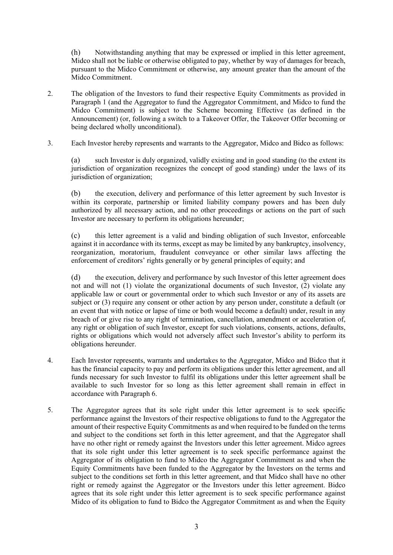(h) Notwithstanding anything that may be expressed or implied in this letter agreement, Midco shall not be liable or otherwise obligated to pay, whether by way of damages for breach, pursuant to the Midco Commitment or otherwise, any amount greater than the amount of the Midco Commitment.

- 2. The obligation of the Investors to fund their respective Equity Commitments as provided in Paragraph 1 (and the Aggregator to fund the Aggregator Commitment, and Midco to fund the Midco Commitment) is subject to the Scheme becoming Effective (as defined in the Announcement) (or, following a switch to a Takeover Offer, the Takeover Offer becoming or being declared wholly unconditional).
- 3. Each Investor hereby represents and warrants to the Aggregator, Midco and Bidco as follows:

(a) such Investor is duly organized, validly existing and in good standing (to the extent its jurisdiction of organization recognizes the concept of good standing) under the laws of its jurisdiction of organization;

(b) the execution, delivery and performance of this letter agreement by such Investor is within its corporate, partnership or limited liability company powers and has been duly authorized by all necessary action, and no other proceedings or actions on the part of such Investor are necessary to perform its obligations hereunder;

(c) this letter agreement is a valid and binding obligation of such Investor, enforceable against it in accordance with its terms, except as may be limited by any bankruptcy, insolvency, reorganization, moratorium, fraudulent conveyance or other similar laws affecting the enforcement of creditors' rights generally or by general principles of equity; and

(d) the execution, delivery and performance by such Investor of this letter agreement does not and will not (1) violate the organizational documents of such Investor, (2) violate any applicable law or court or governmental order to which such Investor or any of its assets are subject or (3) require any consent or other action by any person under, constitute a default (or an event that with notice or lapse of time or both would become a default) under, result in any breach of or give rise to any right of termination, cancellation, amendment or acceleration of, any right or obligation of such Investor, except for such violations, consents, actions, defaults, rights or obligations which would not adversely affect such Investor's ability to perform its obligations hereunder.

- 4. Each Investor represents, warrants and undertakes to the Aggregator, Midco and Bidco that it has the financial capacity to pay and perform its obligations under this letter agreement, and all funds necessary for such Investor to fulfil its obligations under this letter agreement shall be available to such Investor for so long as this letter agreement shall remain in effect in accordance with Paragraph 6.
- 5. The Aggregator agrees that its sole right under this letter agreement is to seek specific performance against the Investors of their respective obligations to fund to the Aggregator the amount of their respective Equity Commitments as and when required to be funded on the terms and subject to the conditions set forth in this letter agreement, and that the Aggregator shall have no other right or remedy against the Investors under this letter agreement. Midco agrees that its sole right under this letter agreement is to seek specific performance against the Aggregator of its obligation to fund to Midco the Aggregator Commitment as and when the Equity Commitments have been funded to the Aggregator by the Investors on the terms and subject to the conditions set forth in this letter agreement, and that Midco shall have no other right or remedy against the Aggregator or the Investors under this letter agreement. Bidco agrees that its sole right under this letter agreement is to seek specific performance against Midco of its obligation to fund to Bidco the Aggregator Commitment as and when the Equity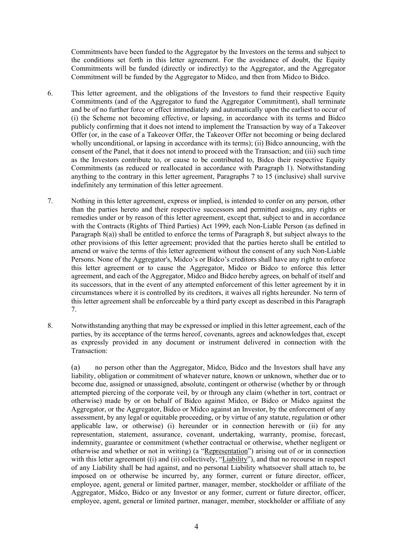Commitments have been funded to the Aggregator by the Investors on the terms and subject to the conditions set forth in this letter agreement. For the avoidance of doubt, the Equity Commitments will be funded (directly or indirectly) to the Aggregator, and the Aggregator Commitment will be funded by the Aggregator to Midco, and then from Midco to Bidco.

- 6. This letter agreement, and the obligations of the Investors to fund their respective Equity Commitments (and of the Aggregator to fund the Aggregator Commitment), shall terminate and be of no further force or effect immediately and automatically upon the earliest to occur of (i) the Scheme not becoming effective, or lapsing, in accordance with its terms and Bidco publicly confirming that it does not intend to implement the Transaction by way of a Takeover Offer (or, in the case of a Takeover Offer, the Takeover Offer not becoming or being declared wholly unconditional, or lapsing in accordance with its terms); (ii) Bidco announcing, with the consent of the Panel, that it does not intend to proceed with the Transaction; and (iii) such time as the Investors contribute to, or cause to be contributed to, Bidco their respective Equity Commitments (as reduced or reallocated in accordance with Paragraph 1). Notwithstanding anything to the contrary in this letter agreement, Paragraphs 7 to 15 (inclusive) shall survive indefinitely any termination of this letter agreement.
- 7. Nothing in this letter agreement, express or implied, is intended to confer on any person, other than the parties hereto and their respective successors and permitted assigns, any rights or remedies under or by reason of this letter agreement, except that, subject to and in accordance with the Contracts (Rights of Third Parties) Act 1999, each Non-Liable Person (as defined in Paragraph 8(a)) shall be entitled to enforce the terms of Paragraph 8, but subject always to the other provisions of this letter agreement; provided that the parties hereto shall be entitled to amend or waive the terms of this letter agreement without the consent of any such Non-Liable Persons. None of the Aggregator's, Midco's or Bidco's creditors shall have any right to enforce this letter agreement or to cause the Aggregator, Midco or Bidco to enforce this letter agreement, and each of the Aggregator, Midco and Bidco hereby agrees, on behalf of itself and its successors, that in the event of any attempted enforcement of this letter agreement by it in circumstances where it is controlled by its creditors, it waives all rights hereunder. No term of this letter agreement shall be enforceable by a third party except as described in this Paragraph 7.
- 8. Notwithstanding anything that may be expressed or implied in this letter agreement, each of the parties, by its acceptance of the terms hereof, covenants, agrees and acknowledges that, except as expressly provided in any document or instrument delivered in connection with the Transaction:

(a) no person other than the Aggregator, Midco, Bidco and the Investors shall have any liability, obligation or commitment of whatever nature, known or unknown, whether due or to become due, assigned or unassigned, absolute, contingent or otherwise (whether by or through attempted piercing of the corporate veil, by or through any claim (whether in tort, contract or otherwise) made by or on behalf of Bidco against Midco, or Bidco or Midco against the Aggregator, or the Aggregator, Bidco or Midco against an Investor, by the enforcement of any assessment, by any legal or equitable proceeding, or by virtue of any statute, regulation or other applicable law, or otherwise) (i) hereunder or in connection herewith or (ii) for any representation, statement, assurance, covenant, undertaking, warranty, promise, forecast, indemnity, guarantee or commitment (whether contractual or otherwise, whether negligent or otherwise and whether or not in writing) (a "Representation") arising out of or in connection with this letter agreement ((i) and (ii) collectively, "Liability"), and that no recourse in respect of any Liability shall be had against, and no personal Liability whatsoever shall attach to, be imposed on or otherwise be incurred by, any former, current or future director, officer, employee, agent, general or limited partner, manager, member, stockholder or affiliate of the Aggregator, Midco, Bidco or any Investor or any former, current or future director, officer, employee, agent, general or limited partner, manager, member, stockholder or affiliate of any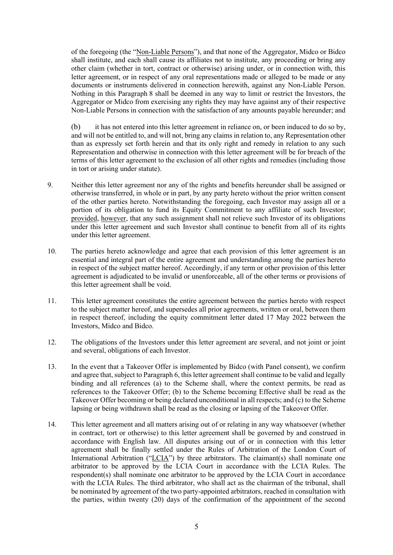of the foregoing (the "Non-Liable Persons"), and that none of the Aggregator, Midco or Bidco shall institute, and each shall cause its affiliates not to institute, any proceeding or bring any other claim (whether in tort, contract or otherwise) arising under, or in connection with, this letter agreement, or in respect of any oral representations made or alleged to be made or any documents or instruments delivered in connection herewith, against any Non-Liable Person. Nothing in this Paragraph 8 shall be deemed in any way to limit or restrict the Investors, the Aggregator or Midco from exercising any rights they may have against any of their respective Non-Liable Persons in connection with the satisfaction of any amounts payable hereunder; and

(b) it has not entered into this letter agreement in reliance on, or been induced to do so by, and will not be entitled to, and will not, bring any claims in relation to, any Representation other than as expressly set forth herein and that its only right and remedy in relation to any such Representation and otherwise in connection with this letter agreement will be for breach of the terms of this letter agreement to the exclusion of all other rights and remedies (including those in tort or arising under statute).

- 9. Neither this letter agreement nor any of the rights and benefits hereunder shall be assigned or otherwise transferred, in whole or in part, by any party hereto without the prior written consent of the other parties hereto. Notwithstanding the foregoing, each Investor may assign all or a portion of its obligation to fund its Equity Commitment to any affiliate of such Investor; provided, however, that any such assignment shall not relieve such Investor of its obligations under this letter agreement and such Investor shall continue to benefit from all of its rights under this letter agreement.
- 10. The parties hereto acknowledge and agree that each provision of this letter agreement is an essential and integral part of the entire agreement and understanding among the parties hereto in respect of the subject matter hereof. Accordingly, if any term or other provision of this letter agreement is adjudicated to be invalid or unenforceable, all of the other terms or provisions of this letter agreement shall be void.
- 11. This letter agreement constitutes the entire agreement between the parties hereto with respect to the subject matter hereof, and supersedes all prior agreements, written or oral, between them in respect thereof, including the equity commitment letter dated 17 May 2022 between the Investors, Midco and Bidco.
- 12. The obligations of the Investors under this letter agreement are several, and not joint or joint and several, obligations of each Investor.
- 13. In the event that a Takeover Offer is implemented by Bidco (with Panel consent), we confirm and agree that, subject to Paragraph 6, this letter agreement shall continue to be valid and legally binding and all references (a) to the Scheme shall, where the context permits, be read as references to the Takeover Offer; (b) to the Scheme becoming Effective shall be read as the Takeover Offer becoming or being declared unconditional in all respects; and (c) to the Scheme lapsing or being withdrawn shall be read as the closing or lapsing of the Takeover Offer.
- 14. This letter agreement and all matters arising out of or relating in any way whatsoever (whether in contract, tort or otherwise) to this letter agreement shall be governed by and construed in accordance with English law. All disputes arising out of or in connection with this letter agreement shall be finally settled under the Rules of Arbitration of the London Court of International Arbitration ("LCIA") by three arbitrators. The claimant(s) shall nominate one arbitrator to be approved by the LCIA Court in accordance with the LCIA Rules. The respondent(s) shall nominate one arbitrator to be approved by the LCIA Court in accordance with the LCIA Rules. The third arbitrator, who shall act as the chairman of the tribunal, shall be nominated by agreement of the two party-appointed arbitrators, reached in consultation with the parties, within twenty (20) days of the confirmation of the appointment of the second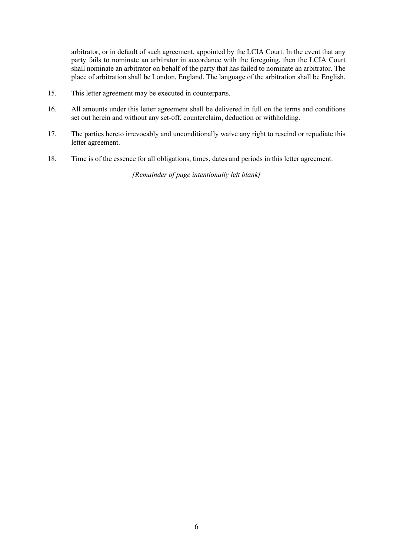arbitrator, or in default of such agreement, appointed by the LCIA Court. In the event that any party fails to nominate an arbitrator in accordance with the foregoing, then the LCIA Court shall nominate an arbitrator on behalf of the party that has failed to nominate an arbitrator. The place of arbitration shall be London, England. The language of the arbitration shall be English.

- 15. This letter agreement may be executed in counterparts.
- 16. All amounts under this letter agreement shall be delivered in full on the terms and conditions set out herein and without any set-off, counterclaim, deduction or withholding.
- 17. The parties hereto irrevocably and unconditionally waive any right to rescind or repudiate this letter agreement.
- 18. Time is of the essence for all obligations, times, dates and periods in this letter agreement.

*[Remainder of page intentionally left blank]*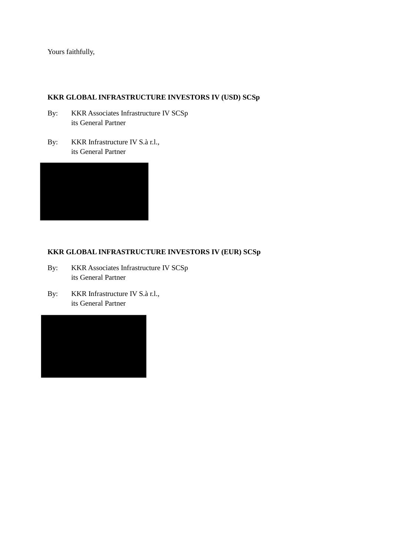Yours faithfully,

## **KKR GLOBAL INFRASTRUCTURE INVESTORS IV (USD) SCSp**

- By: KKR Associates Infrastructure IV SCSp its General Partner
- By: KKR Infrastructure IV S.à r.l., its General Partner



# **KKR GLOBAL INFRASTRUCTURE INVESTORS IV (EUR) SCSp**

- By: KKR Associates Infrastructure IV SCSp its General Partner
- By: KKR Infrastructure IV S.à r.l., its General Partner

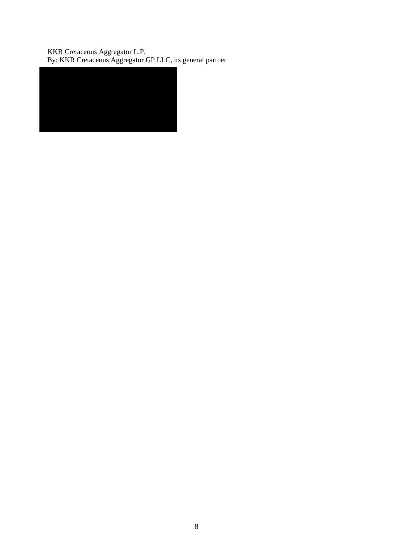KKR Cretaceous Aggregator L.P. By: KKR Cretaceous Aggregator GP LLC, its general partner

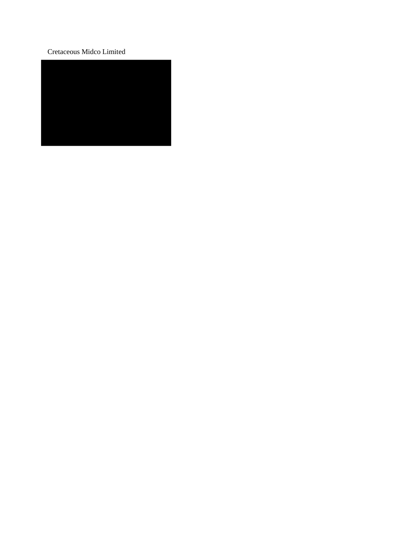### Cretaceous Midco Limited

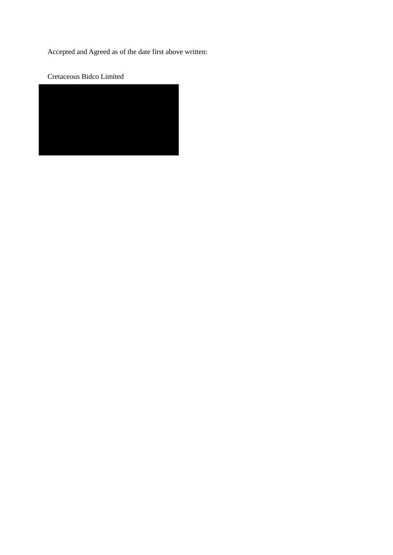Accepted and Agreed as of the date first above written:

Cretaceous Bidco Limited